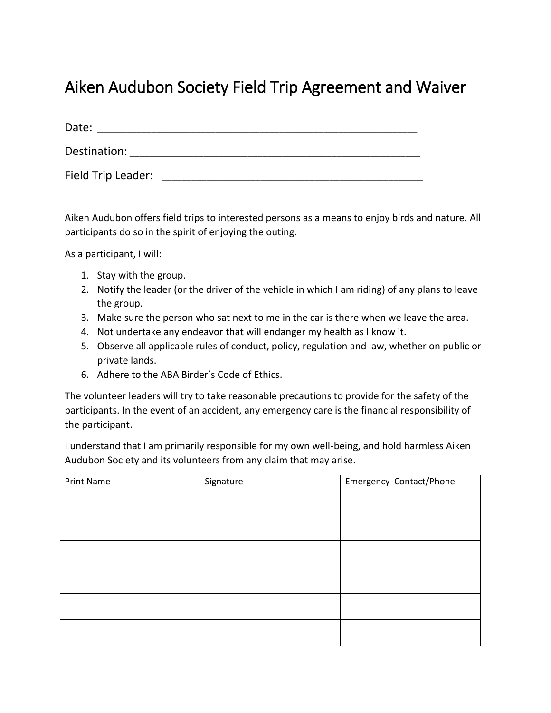## Aiken Audubon Society Field Trip Agreement and Waiver

Date: Destination: \_\_\_\_\_\_\_\_\_\_\_\_\_\_\_\_\_\_\_\_\_\_\_\_\_\_\_\_\_\_\_\_\_\_\_\_\_\_\_\_\_\_\_\_\_\_\_\_\_\_\_\_\_\_\_\_\_\_\_ Field Trip Leader: \_\_\_\_\_\_\_\_\_\_\_\_\_\_\_\_\_\_\_\_\_\_\_\_\_\_\_\_\_\_\_\_\_\_\_\_\_\_\_\_\_\_\_\_\_\_\_\_\_\_\_\_\_

Aiken Audubon offers field trips to interested persons as a means to enjoy birds and nature. All participants do so in the spirit of enjoying the outing.

As a participant, I will:

- 1. Stay with the group.
- 2. Notify the leader (or the driver of the vehicle in which I am riding) of any plans to leave the group.
- 3. Make sure the person who sat next to me in the car is there when we leave the area.
- 4. Not undertake any endeavor that will endanger my health as I know it.
- 5. Observe all applicable rules of conduct, policy, regulation and law, whether on public or private lands.
- 6. Adhere to the ABA Birder's Code of Ethics.

The volunteer leaders will try to take reasonable precautions to provide for the safety of the participants. In the event of an accident, any emergency care is the financial responsibility of the participant.

I understand that I am primarily responsible for my own well-being, and hold harmless Aiken Audubon Society and its volunteers from any claim that may arise.

| Print Name | Signature | Emergency Contact/Phone |
|------------|-----------|-------------------------|
|            |           |                         |
|            |           |                         |
|            |           |                         |
|            |           |                         |
|            |           |                         |
|            |           |                         |
|            |           |                         |
|            |           |                         |